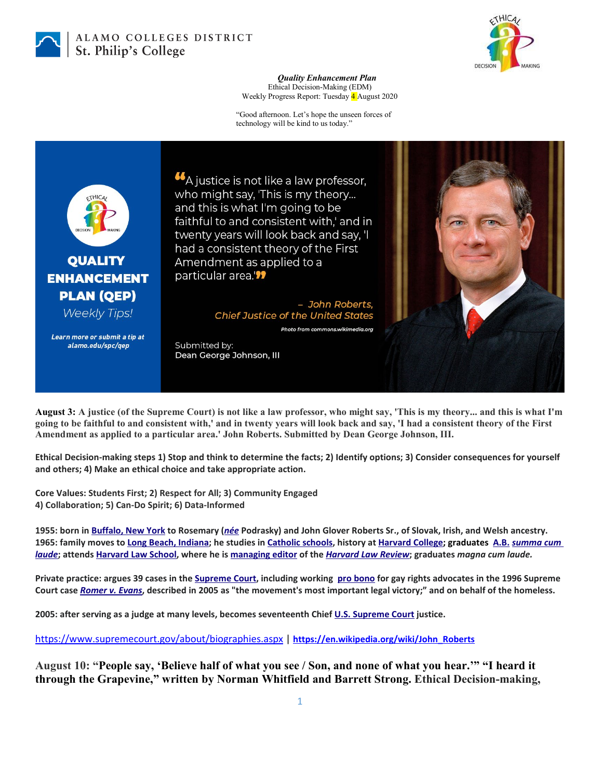

## ALAMO COLLEGES DISTRICT St. Philip's College



*Quality Enhancement Plan* Ethical Decision-Making (EDM) Weekly Progress Report: Tuesday 4 August 2020

"Good afternoon. Let's hope the unseen forces of technology will be kind to us today."



## **QUALITY ENHANCEMENT PLAN (QEP)**

**Weekly Tips!** 

Learn more or submit a tip at alamo.edu/spc/gep

"A justice is not like a law professor, who might say, 'This is my theory... and this is what I'm going to be faithful to and consistent with,' and in twenty years will look back and say, 'I had a consistent theory of the First Amendment as applied to a particular area.'<sup>99</sup>

> - John Roberts. **Chief Justice of the United States** Photo from commons.wikimedia.org

Submitted by: Dean George Johnson, III



**August 3: A justice (of the Supreme Court) is not like a law professor, who might say, 'This is my theory... and this is what I'm going to be faithful to and consistent with,' and in twenty years will look back and say, 'I had a consistent theory of the First Amendment as applied to a particular area.' John Roberts. Submitted by Dean George Johnson, III.**

**Ethical Decision-making steps 1) Stop and think to determine the facts; 2) Identify options; 3) Consider consequences for yourself and others; 4) Make an ethical choice and take appropriate action.**

**Core Values: Students First; 2) Respect for All; 3) Community Engaged 4) Collaboration; 5) Can-Do Spirit; 6) Data-Informed**

**1955: born i[n Buffalo, New York](https://en.wikipedia.org/wiki/Buffalo,_New_York) to Rosemary (***[née](https://en.wikipedia.org/wiki/N%C3%A9e)* **Podrasky) and John Glover Roberts Sr., of Slovak, Irish, and Welsh ancestry. 1965: family moves to [Long Beach, Indiana;](https://en.wikipedia.org/wiki/Long_Beach,_Indiana) he studies in [Catholic schools,](https://en.wikipedia.org/wiki/Catholic_school#United_States) history at [Harvard College;](https://en.wikipedia.org/wiki/Harvard_College) graduates [A.B.](https://en.wikipedia.org/wiki/Bachelor_of_Arts)** *[summa cum](https://en.wikipedia.org/wiki/Latin_honors#North_America)  [laude](https://en.wikipedia.org/wiki/Latin_honors#North_America)***; attends [Harvard Law School,](https://en.wikipedia.org/wiki/Harvard_Law_School) where he is [managing editor](https://en.wikipedia.org/wiki/Managing_editor) of the** *[Harvard Law Review](https://en.wikipedia.org/wiki/Harvard_Law_Review)***; graduates** *magna cum laude.*

**Private practice: argues 39 cases in the [Supreme Court,](https://en.wikipedia.org/wiki/Supreme_Court_of_the_United_States) including working [pro bono](https://en.wikipedia.org/wiki/Pro_bono) for gay rights advocates in the 1996 Supreme Court case** *[Romer v. Evans](https://en.wikipedia.org/wiki/Romer_v._Evans)***, described in 2005 as "the movement's most important legal victory;" and on behalf of the homeless.**

**2005: after serving as a judge at many levels, becomes seventeenth Chie[f U.S. Supreme Court](https://en.wikipedia.org/wiki/Supreme_Court_of_the_United_States) justice.**

<https://www.supremecourt.gov/about/biographies.aspx> | **[https://en.wikipedia.org/wiki/John\\_Roberts](https://en.wikipedia.org/wiki/John_Roberts)**

**August 10: "People say, 'Believe half of what you see / Son, and none of what you hear.'" "I heard it through the Grapevine," written by Norman Whitfield and Barrett Strong. Ethical Decision-making,**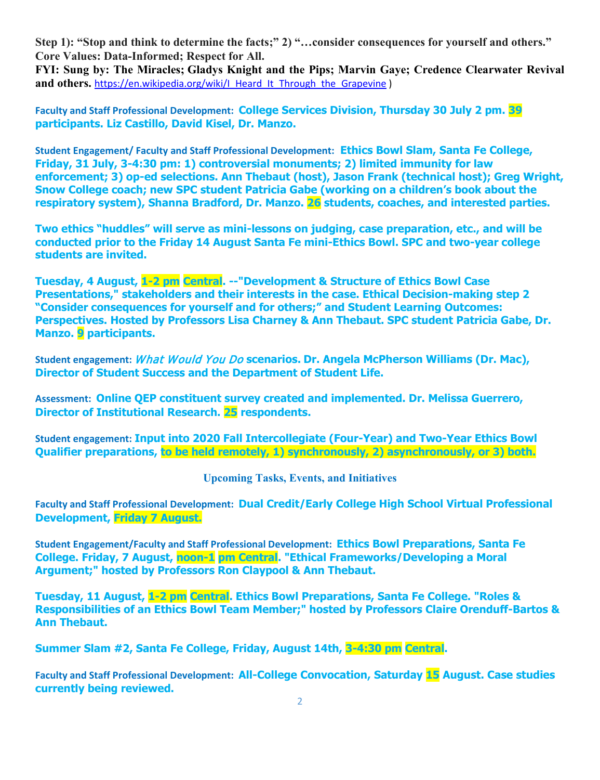**Step 1): "Stop and think to determine the facts;" 2) "…consider consequences for yourself and others." Core Values: Data-Informed; Respect for All.**

**FYI: Sung by: The Miracles; Gladys Knight and the Pips; Marvin Gaye; Credence Clearwater Revival**  and others. [https://en.wikipedia.org/wiki/I\\_Heard\\_It\\_Through\\_the\\_Grapevine](https://en.wikipedia.org/wiki/I_Heard_It_Through_the_Grapevine) )

**Faculty and Staff Professional Development: College Services Division, Thursday 30 July 2 pm. 39 participants. Liz Castillo, David Kisel, Dr. Manzo.**

**Student Engagement/ Faculty and Staff Professional Development: Ethics Bowl Slam, Santa Fe College, Friday, 31 July, 3-4:30 pm: 1) controversial monuments; 2) limited immunity for law enforcement; 3) op-ed selections. Ann Thebaut (host), Jason Frank (technical host); Greg Wright, Snow College coach; new SPC student Patricia Gabe (working on a children's book about the respiratory system), Shanna Bradford, Dr. Manzo. 26 students, coaches, and interested parties.**

**Two ethics "huddles" will serve as mini-lessons on judging, case preparation, etc., and will be conducted prior to the Friday 14 August Santa Fe mini-Ethics Bowl. SPC and two-year college students are invited.** 

**Tuesday, 4 August, 1-2 pm Central. --"Development & Structure of Ethics Bowl Case Presentations," stakeholders and their interests in the case. Ethical Decision-making step 2 "Consider consequences for yourself and for others;" and Student Learning Outcomes: Perspectives. Hosted by Professors Lisa Charney & Ann Thebaut. SPC student Patricia Gabe, Dr. Manzo. 9 participants.**

**Student engagement:** What Would You Do **scenarios. Dr. Angela McPherson Williams (Dr. Mac), Director of Student Success and the Department of Student Life.**

**Assessment: Online QEP constituent survey created and implemented. Dr. Melissa Guerrero, Director of Institutional Research. 25 respondents.**

**Student engagement: Input into 2020 Fall Intercollegiate (Four-Year) and Two-Year Ethics Bowl Qualifier preparations, to be held remotely, 1) synchronously, 2) asynchronously, or 3) both.**

**Upcoming Tasks, Events, and Initiatives**

**Faculty and Staff Professional Development: Dual Credit/Early College High School Virtual Professional Development, Friday 7 August.**

**Student Engagement/Faculty and Staff Professional Development: Ethics Bowl Preparations, Santa Fe College. Friday, 7 August, noon-1 pm Central. "Ethical Frameworks/Developing a Moral Argument;" hosted by Professors Ron Claypool & Ann Thebaut.**

**Tuesday, 11 August, 1-2 pm Central. Ethics Bowl Preparations, Santa Fe College. "Roles & Responsibilities of an Ethics Bowl Team Member;" hosted by Professors Claire Orenduff-Bartos & Ann Thebaut.**

**Summer Slam #2, Santa Fe College, Friday, August 14th, 3-4:30 pm Central.**

**Faculty and Staff Professional Development: All-College Convocation, Saturday 15 August. Case studies currently being reviewed.**